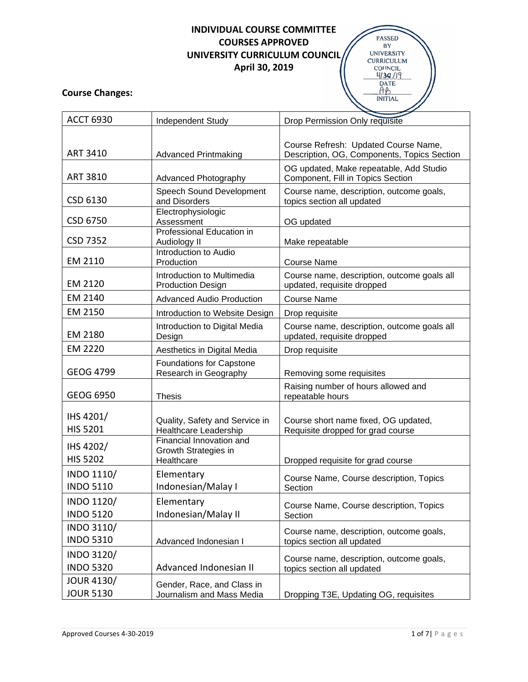# **INDIVIDUAL COURSE COMMITTEE COURSES APPROVED UNIVERSITY CURRICULUM COUNCIL April 30, 2019**



### **Course Changes:**

| <b>ACCT 6930</b>                      | Independent Study                                              | Drop Permission Only requisite                                                      |
|---------------------------------------|----------------------------------------------------------------|-------------------------------------------------------------------------------------|
| <b>ART 3410</b>                       | <b>Advanced Printmaking</b>                                    | Course Refresh: Updated Course Name,<br>Description, OG, Components, Topics Section |
| <b>ART 3810</b>                       | <b>Advanced Photography</b>                                    | OG updated, Make repeatable, Add Studio<br>Component, Fill in Topics Section        |
| CSD 6130                              | Speech Sound Development<br>and Disorders                      | Course name, description, outcome goals,<br>topics section all updated              |
| CSD 6750                              | Electrophysiologic<br>Assessment                               | OG updated                                                                          |
| <b>CSD 7352</b>                       | Professional Education in<br>Audiology II                      | Make repeatable                                                                     |
| EM 2110                               | Introduction to Audio<br>Production                            | <b>Course Name</b>                                                                  |
| EM 2120                               | Introduction to Multimedia<br><b>Production Design</b>         | Course name, description, outcome goals all<br>updated, requisite dropped           |
| EM 2140                               | <b>Advanced Audio Production</b>                               | <b>Course Name</b>                                                                  |
| EM 2150                               | Introduction to Website Design                                 | Drop requisite                                                                      |
| EM 2180                               | Introduction to Digital Media<br>Design                        | Course name, description, outcome goals all<br>updated, requisite dropped           |
| EM 2220                               | Aesthetics in Digital Media                                    | Drop requisite                                                                      |
| <b>GEOG 4799</b>                      | Foundations for Capstone<br>Research in Geography              | Removing some requisites                                                            |
| GEOG 6950                             | <b>Thesis</b>                                                  | Raising number of hours allowed and<br>repeatable hours                             |
| IHS 4201/<br><b>HIS 5201</b>          | Quality, Safety and Service in<br><b>Healthcare Leadership</b> | Course short name fixed, OG updated,<br>Requisite dropped for grad course           |
| IHS 4202/<br><b>HIS 5202</b>          | Financial Innovation and<br>Growth Strategies in<br>Healthcare | Dropped requisite for grad course                                                   |
| INDO 1110/<br><b>INDO 5110</b>        | Elementary<br>Indonesian/Malay I                               | Course Name, Course description, Topics<br>Section                                  |
| INDO 1120/<br><b>INDO 5120</b>        | Elementary<br>Indonesian/Malay II                              | Course Name, Course description, Topics<br>Section                                  |
| INDO 3110/<br><b>INDO 5310</b>        | Advanced Indonesian I                                          | Course name, description, outcome goals,<br>topics section all updated              |
| INDO 3120/<br><b>INDO 5320</b>        | Advanced Indonesian II                                         | Course name, description, outcome goals,<br>topics section all updated              |
| <b>JOUR 4130/</b><br><b>JOUR 5130</b> | Gender, Race, and Class in<br>Journalism and Mass Media        | Dropping T3E, Updating OG, requisites                                               |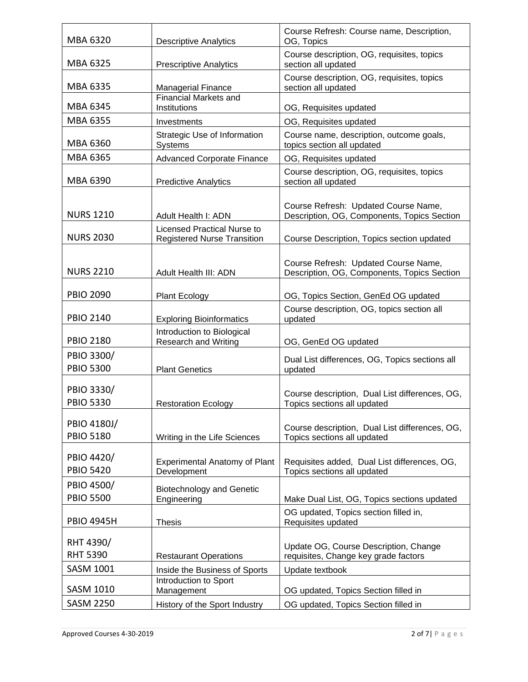| MBA 6320                        | <b>Descriptive Analytics</b>                                      | Course Refresh: Course name, Description,<br>OG, Topics                             |
|---------------------------------|-------------------------------------------------------------------|-------------------------------------------------------------------------------------|
| MBA 6325                        | <b>Prescriptive Analytics</b>                                     | Course description, OG, requisites, topics<br>section all updated                   |
| MBA 6335                        | Managerial Finance                                                | Course description, OG, requisites, topics<br>section all updated                   |
| MBA 6345                        | Financial Markets and<br>Institutions                             | OG, Requisites updated                                                              |
| MBA 6355                        | Investments                                                       | OG, Requisites updated                                                              |
| MBA 6360                        | Strategic Use of Information<br>Systems                           | Course name, description, outcome goals,<br>topics section all updated              |
| MBA 6365                        | <b>Advanced Corporate Finance</b>                                 | OG, Requisites updated                                                              |
| MBA 6390                        | <b>Predictive Analytics</b>                                       | Course description, OG, requisites, topics<br>section all updated                   |
| <b>NURS 1210</b>                | Adult Health I: ADN                                               | Course Refresh: Updated Course Name,<br>Description, OG, Components, Topics Section |
| <b>NURS 2030</b>                | Licensed Practical Nurse to<br><b>Registered Nurse Transition</b> | Course Description, Topics section updated                                          |
| <b>NURS 2210</b>                | Adult Health III: ADN                                             | Course Refresh: Updated Course Name,<br>Description, OG, Components, Topics Section |
| <b>PBIO 2090</b>                | <b>Plant Ecology</b>                                              | OG, Topics Section, GenEd OG updated                                                |
| <b>PBIO 2140</b>                | <b>Exploring Bioinformatics</b>                                   | Course description, OG, topics section all<br>updated                               |
| <b>PBIO 2180</b>                | Introduction to Biological<br><b>Research and Writing</b>         | OG, GenEd OG updated                                                                |
| PBIO 3300/                      |                                                                   | Dual List differences, OG, Topics sections all                                      |
| <b>PBIO 5300</b>                | <b>Plant Genetics</b>                                             | updated                                                                             |
| PBIO 3330/<br><b>PBIO 5330</b>  | <b>Restoration Ecology</b>                                        | Course description, Dual List differences, OG,<br>Topics sections all updated       |
| PBIO 4180J/<br><b>PBIO 5180</b> | Writing in the Life Sciences                                      | Course description, Dual List differences, OG,<br>Topics sections all updated       |
| PBIO 4420/<br><b>PBIO 5420</b>  | <b>Experimental Anatomy of Plant</b><br>Development               | Requisites added, Dual List differences, OG,<br>Topics sections all updated         |
| PBIO 4500/<br><b>PBIO 5500</b>  | <b>Biotechnology and Genetic</b><br>Engineering                   | Make Dual List, OG, Topics sections updated                                         |
| <b>PBIO 4945H</b>               | <b>Thesis</b>                                                     | OG updated, Topics section filled in,<br>Requisites updated                         |
| RHT 4390/<br><b>RHT 5390</b>    | <b>Restaurant Operations</b>                                      | Update OG, Course Description, Change<br>requisites, Change key grade factors       |
| <b>SASM 1001</b>                | Inside the Business of Sports                                     | Update textbook                                                                     |
| <b>SASM 1010</b>                | Introduction to Sport<br>Management                               | OG updated, Topics Section filled in                                                |
| <b>SASM 2250</b>                | History of the Sport Industry                                     | OG updated, Topics Section filled in                                                |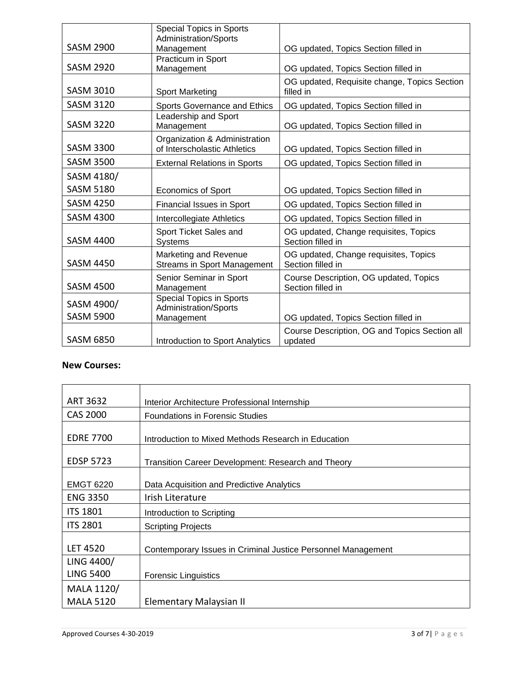|                  | <b>Special Topics in Sports</b><br>Administration/Sports      |                                                             |
|------------------|---------------------------------------------------------------|-------------------------------------------------------------|
| <b>SASM 2900</b> | Management                                                    | OG updated, Topics Section filled in                        |
| <b>SASM 2920</b> | Practicum in Sport<br>Management                              | OG updated, Topics Section filled in                        |
| <b>SASM 3010</b> | <b>Sport Marketing</b>                                        | OG updated, Requisite change, Topics Section<br>filled in   |
| <b>SASM 3120</b> | Sports Governance and Ethics                                  | OG updated, Topics Section filled in                        |
| <b>SASM 3220</b> | Leadership and Sport<br>Management                            | OG updated, Topics Section filled in                        |
| <b>SASM 3300</b> | Organization & Administration<br>of Interscholastic Athletics | OG updated, Topics Section filled in                        |
| <b>SASM 3500</b> | <b>External Relations in Sports</b>                           | OG updated, Topics Section filled in                        |
| SASM 4180/       |                                                               |                                                             |
| <b>SASM 5180</b> | <b>Economics of Sport</b>                                     | OG updated, Topics Section filled in                        |
| <b>SASM 4250</b> | <b>Financial Issues in Sport</b>                              | OG updated, Topics Section filled in                        |
| <b>SASM 4300</b> | Intercollegiate Athletics                                     | OG updated, Topics Section filled in                        |
| <b>SASM 4400</b> | Sport Ticket Sales and<br>Systems                             | OG updated, Change requisites, Topics<br>Section filled in  |
| <b>SASM 4450</b> | Marketing and Revenue<br><b>Streams in Sport Management</b>   | OG updated, Change requisites, Topics<br>Section filled in  |
| <b>SASM 4500</b> | Senior Seminar in Sport<br>Management                         | Course Description, OG updated, Topics<br>Section filled in |
| SASM 4900/       | <b>Special Topics in Sports</b><br>Administration/Sports      |                                                             |
| <b>SASM 5900</b> | Management                                                    | OG updated, Topics Section filled in                        |
| <b>SASM 6850</b> | Introduction to Sport Analytics                               | Course Description, OG and Topics Section all<br>updated    |

#### **New Courses:**

| ART 3632         | Interior Architecture Professional Internship                |
|------------------|--------------------------------------------------------------|
| <b>CAS 2000</b>  | <b>Foundations in Forensic Studies</b>                       |
| <b>EDRE 7700</b> | Introduction to Mixed Methods Research in Education          |
| <b>EDSP 5723</b> | Transition Career Development: Research and Theory           |
| <b>EMGT 6220</b> | Data Acquisition and Predictive Analytics                    |
| <b>ENG 3350</b>  | Irish Literature                                             |
| <b>ITS 1801</b>  | Introduction to Scripting                                    |
| <b>ITS 2801</b>  | <b>Scripting Projects</b>                                    |
| <b>LET 4520</b>  | Contemporary Issues in Criminal Justice Personnel Management |
| LING 4400/       |                                                              |
| <b>LING 5400</b> | <b>Forensic Linguistics</b>                                  |
| MALA 1120/       |                                                              |
| <b>MALA 5120</b> | Elementary Malaysian II                                      |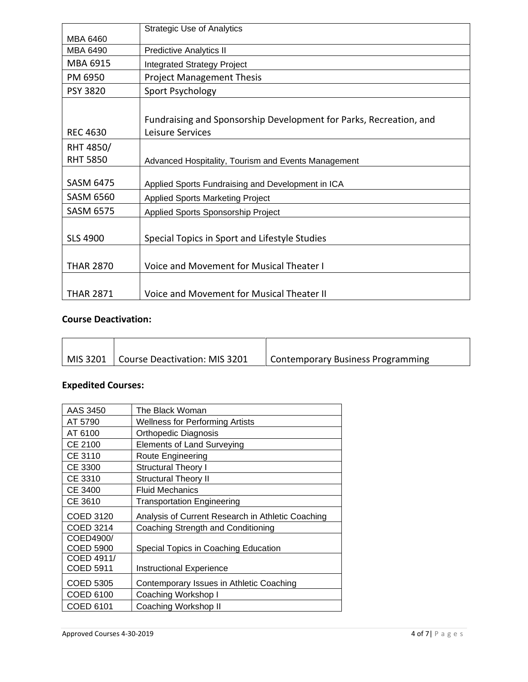|                  | <b>Strategic Use of Analytics</b>                                  |
|------------------|--------------------------------------------------------------------|
| MBA 6460         |                                                                    |
| MBA 6490         | <b>Predictive Analytics II</b>                                     |
| MBA 6915         | <b>Integrated Strategy Project</b>                                 |
| PM 6950          | <b>Project Management Thesis</b>                                   |
| <b>PSY 3820</b>  | Sport Psychology                                                   |
|                  |                                                                    |
|                  | Fundraising and Sponsorship Development for Parks, Recreation, and |
| REC 4630         | Leisure Services                                                   |
| RHT 4850/        |                                                                    |
| <b>RHT 5850</b>  | Advanced Hospitality, Tourism and Events Management                |
|                  |                                                                    |
| <b>SASM 6475</b> | Applied Sports Fundraising and Development in ICA                  |
| <b>SASM 6560</b> | <b>Applied Sports Marketing Project</b>                            |
| <b>SASM 6575</b> | Applied Sports Sponsorship Project                                 |
|                  |                                                                    |
| <b>SLS 4900</b>  | Special Topics in Sport and Lifestyle Studies                      |
|                  |                                                                    |
| <b>THAR 2870</b> | Voice and Movement for Musical Theater I                           |
|                  |                                                                    |
| <b>THAR 2871</b> | Voice and Movement for Musical Theater II                          |

# **Course Deactivation:**

| MIS 3201   Course Deactivation: MIS 3201 | Contemporary Business Programming |
|------------------------------------------|-----------------------------------|

### **Expedited Courses:**

| AAS 3450   | The Black Woman                                   |
|------------|---------------------------------------------------|
| AT 5790    | <b>Wellness for Performing Artists</b>            |
| AT 6100    | Orthopedic Diagnosis                              |
| CE 2100    | <b>Elements of Land Surveying</b>                 |
| CE 3110    | Route Engineering                                 |
| CE 3300    | Structural Theory I                               |
| CE 3310    | Structural Theory II                              |
| CE 3400    | <b>Fluid Mechanics</b>                            |
| CE 3610    | <b>Transportation Engineering</b>                 |
| COED 3120  | Analysis of Current Research in Athletic Coaching |
| COED 3214  | Coaching Strength and Conditioning                |
| COED4900/  |                                                   |
| COED 5900  | Special Topics in Coaching Education              |
| COED 4911/ |                                                   |
| COED 5911  | Instructional Experience                          |
| COED 5305  | Contemporary Issues in Athletic Coaching          |
| COED 6100  | Coaching Workshop I                               |
| COED 6101  | Coaching Workshop II                              |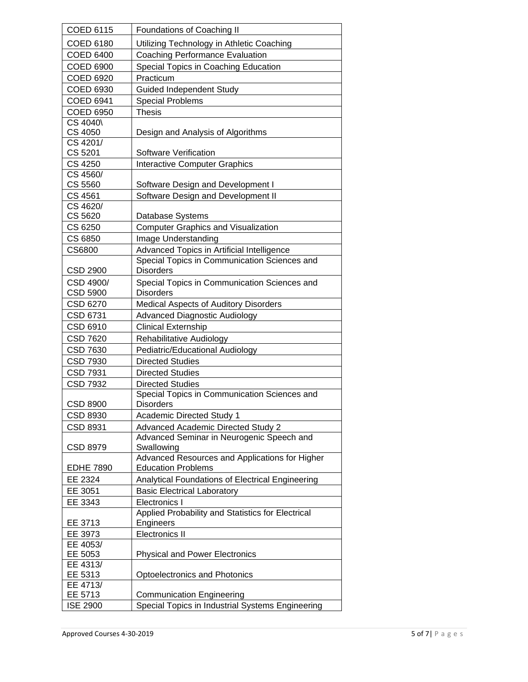| <b>COED 6115</b>    | Foundations of Coaching II                                                             |
|---------------------|----------------------------------------------------------------------------------------|
| COED 6180           | Utilizing Technology in Athletic Coaching                                              |
| <b>COED 6400</b>    | <b>Coaching Performance Evaluation</b>                                                 |
| COED 6900           | Special Topics in Coaching Education                                                   |
| COED 6920           | Practicum                                                                              |
| COED 6930           | <b>Guided Independent Study</b>                                                        |
| <b>COED 6941</b>    | <b>Special Problems</b>                                                                |
| <b>COED 6950</b>    | <b>Thesis</b>                                                                          |
| CS 4040\            |                                                                                        |
| CS 4050             | Design and Analysis of Algorithms                                                      |
| CS 4201/            |                                                                                        |
| CS 5201             | Software Verification                                                                  |
| CS 4250             | <b>Interactive Computer Graphics</b>                                                   |
| CS 4560/            |                                                                                        |
| CS 5560             | Software Design and Development I                                                      |
| CS 4561             | Software Design and Development II                                                     |
| CS 4620/            |                                                                                        |
| CS 5620             | Database Systems                                                                       |
| CS 6250             | <b>Computer Graphics and Visualization</b>                                             |
| CS 6850             | Image Understanding                                                                    |
| CS6800              | Advanced Topics in Artificial Intelligence                                             |
|                     | Special Topics in Communication Sciences and                                           |
| CSD 2900            | <b>Disorders</b>                                                                       |
| CSD 4900/           | Special Topics in Communication Sciences and                                           |
| CSD 5900            | <b>Disorders</b>                                                                       |
| CSD 6270            | Medical Aspects of Auditory Disorders                                                  |
| CSD 6731            | <b>Advanced Diagnostic Audiology</b>                                                   |
| CSD 6910            | <b>Clinical Externship</b>                                                             |
| CSD 7620            | Rehabilitative Audiology                                                               |
| CSD 7630            | Pediatric/Educational Audiology                                                        |
| CSD 7930            | <b>Directed Studies</b>                                                                |
| CSD 7931            | <b>Directed Studies</b>                                                                |
| CSD 7932            | <b>Directed Studies</b>                                                                |
|                     | Special Topics in Communication Sciences and                                           |
| <b>CSD 8900</b>     | <b>Disorders</b>                                                                       |
| CSD 8930            | <b>Academic Directed Study 1</b>                                                       |
| CSD 8931            | <b>Advanced Academic Directed Study 2</b><br>Advanced Seminar in Neurogenic Speech and |
| CSD 8979            | Swallowing                                                                             |
|                     | Advanced Resources and Applications for Higher                                         |
| <b>EDHE 7890</b>    | <b>Education Problems</b>                                                              |
| EE 2324             | Analytical Foundations of Electrical Engineering                                       |
| EE 3051             | <b>Basic Electrical Laboratory</b>                                                     |
| EE 3343             | <b>Electronics I</b>                                                                   |
|                     | Applied Probability and Statistics for Electrical                                      |
| EE 3713             | Engineers                                                                              |
| EE 3973             | <b>Electronics II</b>                                                                  |
| EE 4053/            |                                                                                        |
| EE 5053             | <b>Physical and Power Electronics</b>                                                  |
| EE 4313/            |                                                                                        |
| EE 5313             | Optoelectronics and Photonics                                                          |
| EE 4713/<br>EE 5713 |                                                                                        |
| <b>ISE 2900</b>     | <b>Communication Engineering</b><br>Special Topics in Industrial Systems Engineering   |
|                     |                                                                                        |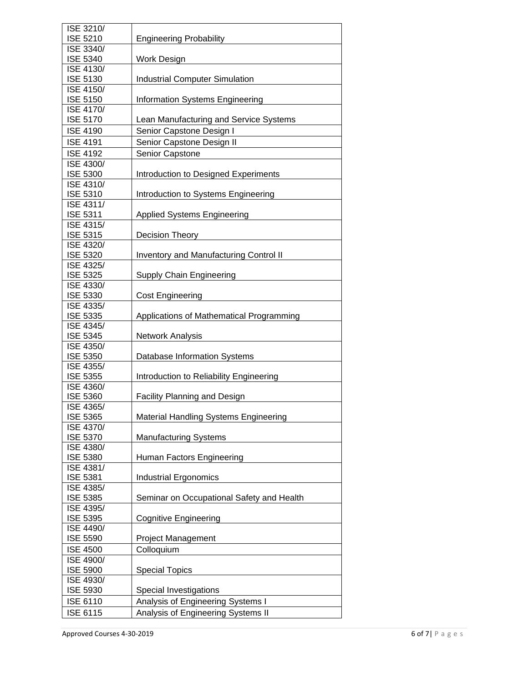| ISE 3210/        |                                               |
|------------------|-----------------------------------------------|
| <b>ISE 5210</b>  | <b>Engineering Probability</b>                |
| ISE 3340/        |                                               |
| <b>ISE 5340</b>  | Work Design                                   |
| <b>ISE 4130/</b> |                                               |
| <b>ISE 5130</b>  | <b>Industrial Computer Simulation</b>         |
| ISE 4150/        |                                               |
| <b>ISE 5150</b>  | <b>Information Systems Engineering</b>        |
| <b>ISE 4170/</b> |                                               |
| <b>ISE 5170</b>  | Lean Manufacturing and Service Systems        |
| <b>ISE 4190</b>  | Senior Capstone Design I                      |
|                  |                                               |
| <b>ISE 4191</b>  | Senior Capstone Design II                     |
| <b>ISE 4192</b>  | Senior Capstone                               |
| ISE 4300/        |                                               |
| <b>ISE 5300</b>  | Introduction to Designed Experiments          |
| ISE 4310/        |                                               |
| <b>ISE 5310</b>  | Introduction to Systems Engineering           |
| ISE 4311/        |                                               |
| <b>ISE 5311</b>  | <b>Applied Systems Engineering</b>            |
| ISE 4315/        |                                               |
| <b>ISE 5315</b>  | Decision Theory                               |
| <b>ISE 4320/</b> |                                               |
| <b>ISE 5320</b>  | <b>Inventory and Manufacturing Control II</b> |
| ISE 4325/        |                                               |
| <b>ISE 5325</b>  | Supply Chain Engineering                      |
| ISE 4330/        |                                               |
| <b>ISE 5330</b>  | <b>Cost Engineering</b>                       |
| ISE 4335/        |                                               |
| <b>ISE 5335</b>  | Applications of Mathematical Programming      |
| ISE 4345/        |                                               |
| <b>ISE 5345</b>  | Network Analysis                              |
| ISE 4350/        |                                               |
| <b>ISE 5350</b>  | Database Information Systems                  |
| ISE 4355/        |                                               |
| <b>ISE 5355</b>  | Introduction to Reliability Engineering       |
| ISE 4360/        |                                               |
| <b>ISE 5360</b>  | <b>Facility Planning and Design</b>           |
| ISE 4365/        |                                               |
| <b>ISE 5365</b>  | Material Handling Systems Engineering         |
| ISE 4370/        |                                               |
| <b>ISE 5370</b>  | <b>Manufacturing Systems</b>                  |
| ISE 4380/        |                                               |
| <b>ISE 5380</b>  | Human Factors Engineering                     |
| ISE 4381/        |                                               |
| <b>ISE 5381</b>  | <b>Industrial Ergonomics</b>                  |
| ISE 4385/        |                                               |
| <b>ISE 5385</b>  | Seminar on Occupational Safety and Health     |
| ISE 4395/        |                                               |
| <b>ISE 5395</b>  | <b>Cognitive Engineering</b>                  |
| ISE 4490/        |                                               |
| <b>ISE 5590</b>  | <b>Project Management</b>                     |
| <b>ISE 4500</b>  | Colloquium                                    |
| ISE 4900/        |                                               |
| <b>ISE 5900</b>  | <b>Special Topics</b>                         |
| ISE 4930/        |                                               |
|                  |                                               |
| <b>ISE 5930</b>  | Special Investigations                        |
| <b>ISE 6110</b>  | Analysis of Engineering Systems I             |
| ISE 6115         | Analysis of Engineering Systems II            |